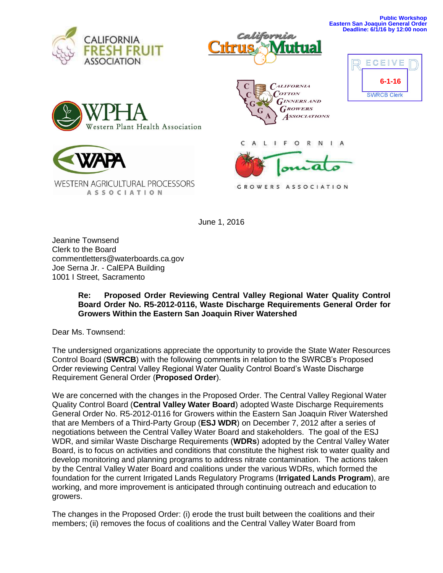







**WESTERN AGRICULTURAL PROCESSORS ASSOCIATION** 





C  $\mathsf{A}$ L I F O R N I A

GROWERS ASSOCIATION

June 1, 2016

Jeanine Townsend Clerk to the Board commentletters@waterboards.ca.gov Joe Serna Jr. - CalEPA Building 1001 I Street, Sacramento

## **Re: Proposed Order Reviewing Central Valley Regional Water Quality Control Board Order No. R5-2012-0116, Waste Discharge Requirements General Order for Growers Within the Eastern San Joaquin River Watershed**

Dear Ms. Townsend:

The undersigned organizations appreciate the opportunity to provide the State Water Resources Control Board (**SWRCB**) with the following comments in relation to the SWRCB's Proposed Order reviewing Central Valley Regional Water Quality Control Board's Waste Discharge Requirement General Order (**Proposed Order**).

We are concerned with the changes in the Proposed Order. The Central Valley Regional Water Quality Control Board (**Central Valley Water Board**) adopted Waste Discharge Requirements General Order No. R5-2012-0116 for Growers within the Eastern San Joaquin River Watershed that are Members of a Third-Party Group (**ESJ WDR**) on December 7, 2012 after a series of negotiations between the Central Valley Water Board and stakeholders. The goal of the ESJ WDR, and similar Waste Discharge Requirements (**WDRs**) adopted by the Central Valley Water Board, is to focus on activities and conditions that constitute the highest risk to water quality and develop monitoring and planning programs to address nitrate contamination. The actions taken by the Central Valley Water Board and coalitions under the various WDRs, which formed the foundation for the current Irrigated Lands Regulatory Programs (**Irrigated Lands Program**), are working, and more improvement is anticipated through continuing outreach and education to growers.

The changes in the Proposed Order: (i) erode the trust built between the coalitions and their members; (ii) removes the focus of coalitions and the Central Valley Water Board from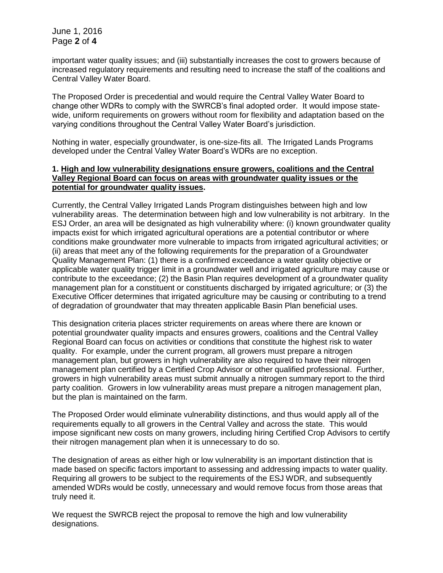important water quality issues; and (iii) substantially increases the cost to growers because of increased regulatory requirements and resulting need to increase the staff of the coalitions and Central Valley Water Board.

The Proposed Order is precedential and would require the Central Valley Water Board to change other WDRs to comply with the SWRCB's final adopted order. It would impose statewide, uniform requirements on growers without room for flexibility and adaptation based on the varying conditions throughout the Central Valley Water Board's jurisdiction.

Nothing in water, especially groundwater, is one-size-fits all. The Irrigated Lands Programs developed under the Central Valley Water Board's WDRs are no exception.

## **1. High and low vulnerability designations ensure growers, coalitions and the Central Valley Regional Board can focus on areas with groundwater quality issues or the potential for groundwater quality issues.**

Currently, the Central Valley Irrigated Lands Program distinguishes between high and low vulnerability areas. The determination between high and low vulnerability is not arbitrary. In the ESJ Order, an area will be designated as high vulnerability where: (i) known groundwater quality impacts exist for which irrigated agricultural operations are a potential contributor or where conditions make groundwater more vulnerable to impacts from irrigated agricultural activities; or (ii) areas that meet any of the following requirements for the preparation of a Groundwater Quality Management Plan: (1) there is a confirmed exceedance a water quality objective or applicable water quality trigger limit in a groundwater well and irrigated agriculture may cause or contribute to the exceedance; (2) the Basin Plan requires development of a groundwater quality management plan for a constituent or constituents discharged by irrigated agriculture; or (3) the Executive Officer determines that irrigated agriculture may be causing or contributing to a trend of degradation of groundwater that may threaten applicable Basin Plan beneficial uses.

This designation criteria places stricter requirements on areas where there are known or potential groundwater quality impacts and ensures growers, coalitions and the Central Valley Regional Board can focus on activities or conditions that constitute the highest risk to water quality. For example, under the current program, all growers must prepare a nitrogen management plan, but growers in high vulnerability are also required to have their nitrogen management plan certified by a Certified Crop Advisor or other qualified professional. Further, growers in high vulnerability areas must submit annually a nitrogen summary report to the third party coalition. Growers in low vulnerability areas must prepare a nitrogen management plan, but the plan is maintained on the farm.

The Proposed Order would eliminate vulnerability distinctions, and thus would apply all of the requirements equally to all growers in the Central Valley and across the state. This would impose significant new costs on many growers, including hiring Certified Crop Advisors to certify their nitrogen management plan when it is unnecessary to do so.

The designation of areas as either high or low vulnerability is an important distinction that is made based on specific factors important to assessing and addressing impacts to water quality. Requiring all growers to be subject to the requirements of the ESJ WDR, and subsequently amended WDRs would be costly, unnecessary and would remove focus from those areas that truly need it.

We request the SWRCB reject the proposal to remove the high and low vulnerability designations.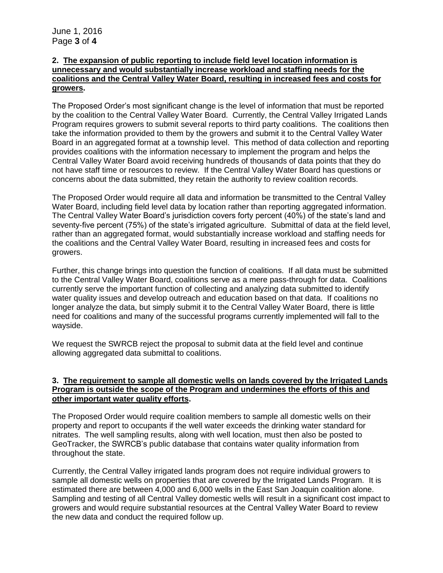## **2. The expansion of public reporting to include field level location information is unnecessary and would substantially increase workload and staffing needs for the coalitions and the Central Valley Water Board, resulting in increased fees and costs for growers.**

The Proposed Order's most significant change is the level of information that must be reported by the coalition to the Central Valley Water Board. Currently, the Central Valley Irrigated Lands Program requires growers to submit several reports to third party coalitions. The coalitions then take the information provided to them by the growers and submit it to the Central Valley Water Board in an aggregated format at a township level. This method of data collection and reporting provides coalitions with the information necessary to implement the program and helps the Central Valley Water Board avoid receiving hundreds of thousands of data points that they do not have staff time or resources to review. If the Central Valley Water Board has questions or concerns about the data submitted, they retain the authority to review coalition records.

The Proposed Order would require all data and information be transmitted to the Central Valley Water Board, including field level data by location rather than reporting aggregated information. The Central Valley Water Board's jurisdiction covers forty percent (40%) of the state's land and seventy-five percent (75%) of the state's irrigated agriculture. Submittal of data at the field level, rather than an aggregated format, would substantially increase workload and staffing needs for the coalitions and the Central Valley Water Board, resulting in increased fees and costs for growers.

Further, this change brings into question the function of coalitions. If all data must be submitted to the Central Valley Water Board, coalitions serve as a mere pass-through for data. Coalitions currently serve the important function of collecting and analyzing data submitted to identify water quality issues and develop outreach and education based on that data. If coalitions no longer analyze the data, but simply submit it to the Central Valley Water Board, there is little need for coalitions and many of the successful programs currently implemented will fall to the wayside.

We request the SWRCB reject the proposal to submit data at the field level and continue allowing aggregated data submittal to coalitions.

## **3. The requirement to sample all domestic wells on lands covered by the Irrigated Lands Program is outside the scope of the Program and undermines the efforts of this and other important water quality efforts.**

The Proposed Order would require coalition members to sample all domestic wells on their property and report to occupants if the well water exceeds the drinking water standard for nitrates. The well sampling results, along with well location, must then also be posted to GeoTracker, the SWRCB's public database that contains water quality information from throughout the state.

Currently, the Central Valley irrigated lands program does not require individual growers to sample all domestic wells on properties that are covered by the Irrigated Lands Program. It is estimated there are between 4,000 and 6,000 wells in the East San Joaquin coalition alone. Sampling and testing of all Central Valley domestic wells will result in a significant cost impact to growers and would require substantial resources at the Central Valley Water Board to review the new data and conduct the required follow up.